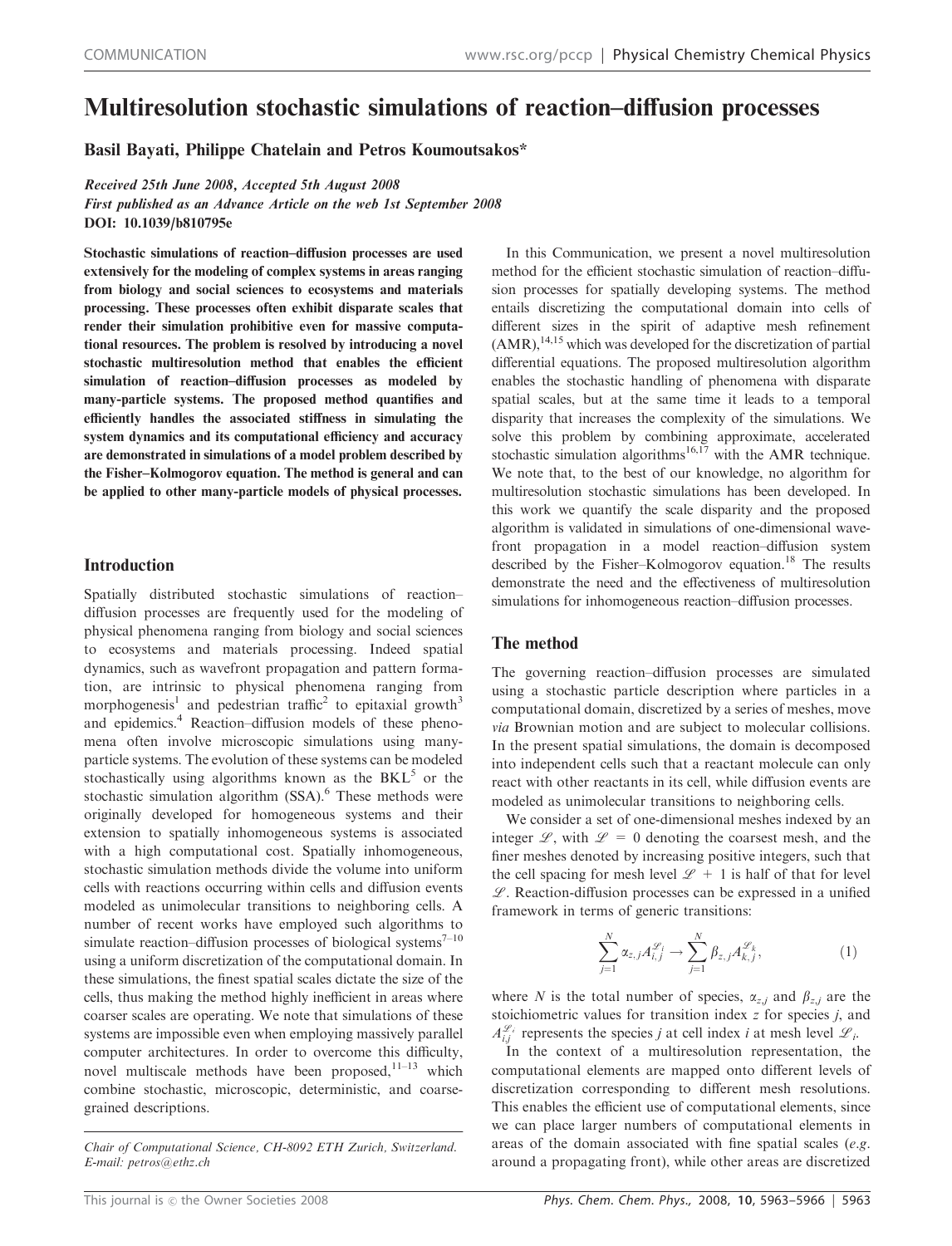# Multiresolution stochastic simulations of reaction–diffusion processes

Basil Bayati, Philippe Chatelain and Petros Koumoutsakos\*

Received 25th June 2008, Accepted 5th August 2008

First published as an Advance Article on the web 1st September 2008 DOI: 10.1039/b810795e

Stochastic simulations of reaction–diffusion processes are used extensively for the modeling of complex systems in areas ranging from biology and social sciences to ecosystems and materials processing. These processes often exhibit disparate scales that render their simulation prohibitive even for massive computational resources. The problem is resolved by introducing a novel stochastic multiresolution method that enables the efficient simulation of reaction–diffusion processes as modeled by many-particle systems. The proposed method quantifies and efficiently handles the associated stiffness in simulating the system dynamics and its computational efficiency and accuracy are demonstrated in simulations of a model problem described by the Fisher–Kolmogorov equation. The method is general and can be applied to other many-particle models of physical processes.

## Introduction

Spatially distributed stochastic simulations of reaction– diffusion processes are frequently used for the modeling of physical phenomena ranging from biology and social sciences to ecosystems and materials processing. Indeed spatial dynamics, such as wavefront propagation and pattern formation, are intrinsic to physical phenomena ranging from morphogenesis<sup>1</sup> and pedestrian traffic<sup>2</sup> to epitaxial growth<sup>3</sup> and epidemics.<sup>4</sup> Reaction–diffusion models of these phenomena often involve microscopic simulations using manyparticle systems. The evolution of these systems can be modeled stochastically using algorithms known as the  $BKL<sup>5</sup>$  or the stochastic simulation algorithm (SSA).<sup>6</sup> These methods were originally developed for homogeneous systems and their extension to spatially inhomogeneous systems is associated with a high computational cost. Spatially inhomogeneous, stochastic simulation methods divide the volume into uniform cells with reactions occurring within cells and diffusion events modeled as unimolecular transitions to neighboring cells. A number of recent works have employed such algorithms to simulate reaction–diffusion processes of biological systems<sup> $7-10$ </sup> using a uniform discretization of the computational domain. In these simulations, the finest spatial scales dictate the size of the cells, thus making the method highly inefficient in areas where coarser scales are operating. We note that simulations of these systems are impossible even when employing massively parallel computer architectures. In order to overcome this difficulty, novel multiscale methods have been proposed,<sup>11-13</sup> which combine stochastic, microscopic, deterministic, and coarsegrained descriptions.

Chair of Computational Science, CH-8092 ETH Zurich, Switzerland. E-mail: petros@ethz.ch

In this Communication, we present a novel multiresolution method for the efficient stochastic simulation of reaction–diffusion processes for spatially developing systems. The method entails discretizing the computational domain into cells of different sizes in the spirit of adaptive mesh refinement  $(AMR)$ ,  $^{14,15}$  which was developed for the discretization of partial differential equations. The proposed multiresolution algorithm enables the stochastic handling of phenomena with disparate spatial scales, but at the same time it leads to a temporal disparity that increases the complexity of the simulations. We solve this problem by combining approximate, accelerated stochastic simulation algorithms<sup>16,17</sup> with the AMR technique. We note that, to the best of our knowledge, no algorithm for multiresolution stochastic simulations has been developed. In this work we quantify the scale disparity and the proposed algorithm is validated in simulations of one-dimensional wavefront propagation in a model reaction–diffusion system described by the Fisher–Kolmogorov equation.<sup>18</sup> The results demonstrate the need and the effectiveness of multiresolution simulations for inhomogeneous reaction–diffusion processes.

# The method

The governing reaction–diffusion processes are simulated using a stochastic particle description where particles in a computational domain, discretized by a series of meshes, move via Brownian motion and are subject to molecular collisions. In the present spatial simulations, the domain is decomposed into independent cells such that a reactant molecule can only react with other reactants in its cell, while diffusion events are modeled as unimolecular transitions to neighboring cells.

We consider a set of one-dimensional meshes indexed by an integer  $\mathscr{L}$ , with  $\mathscr{L} = 0$  denoting the coarsest mesh, and the finer meshes denoted by increasing positive integers, such that the cell spacing for mesh level  $\mathscr{L} + 1$  is half of that for level  $\mathscr{L}$ . Reaction-diffusion processes can be expressed in a unified framework in terms of generic transitions:

$$
\sum_{j=1}^{N} \alpha_{z,j} A_{i,j}^{\mathscr{L}_i} \to \sum_{j=1}^{N} \beta_{z,j} A_{k,j}^{\mathscr{L}_k},\tag{1}
$$

where N is the total number of species,  $\alpha_{z,j}$  and  $\beta_{z,j}$  are the stoichiometric values for transition index  $z$  for species  $j$ , and  $A_{i,j}^{\mathscr{L}_i}$  represents the species j at cell index i at mesh level  $\mathscr{L}_i$ .

In the context of a multiresolution representation, the computational elements are mapped onto different levels of discretization corresponding to different mesh resolutions. This enables the efficient use of computational elements, since we can place larger numbers of computational elements in areas of the domain associated with fine spatial scales  $(e.g.,)$ around a propagating front), while other areas are discretized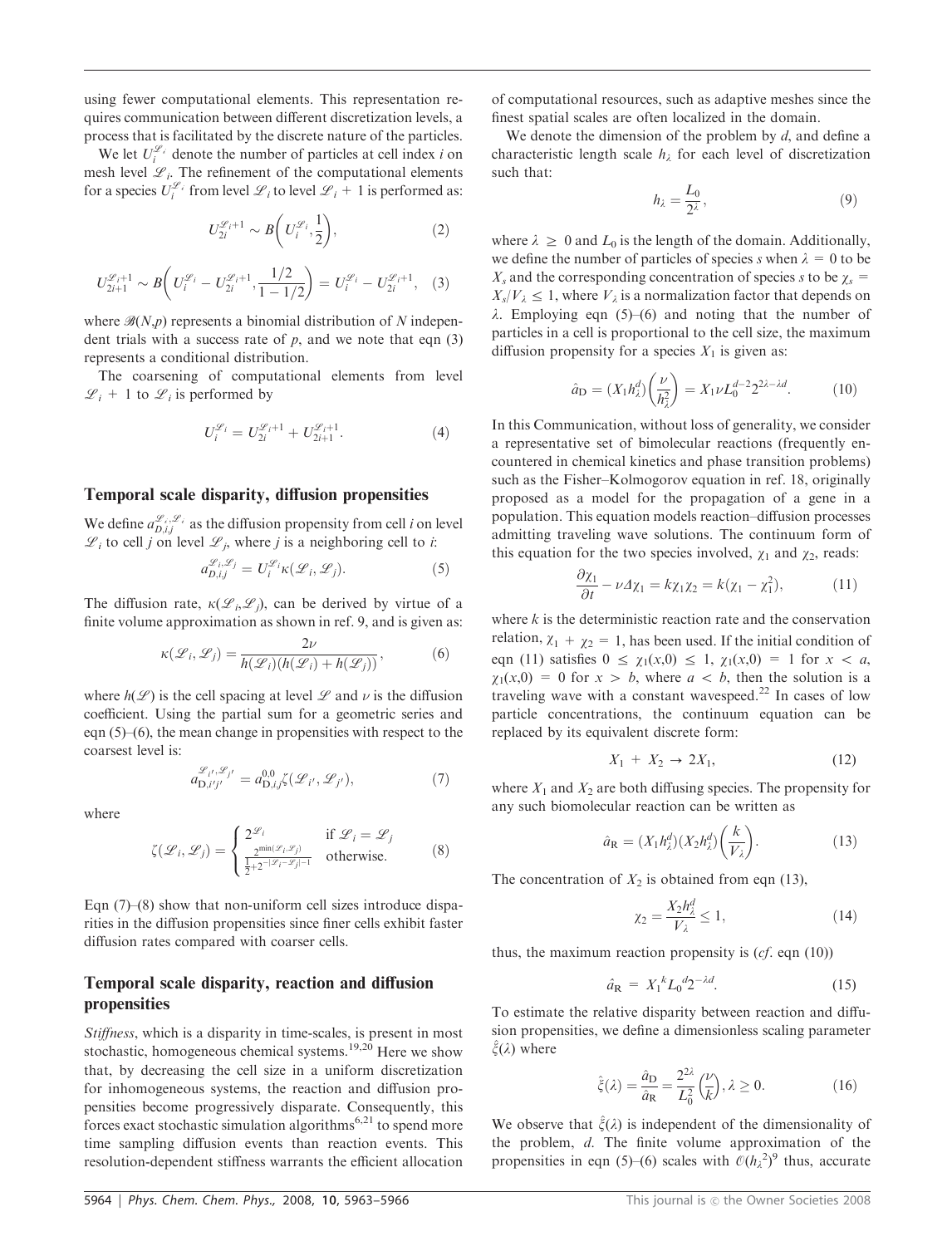using fewer computational elements. This representation requires communication between different discretization levels, a process that is facilitated by the discrete nature of the particles.

We let  $U_i^{\mathcal{L}_i}$  denote the number of particles at cell index *i* on mesh level  $\mathcal{L}_i$ . The refinement of the computational elements for a species  $U_i^{\mathscr{L}_i}$  from level  $\mathscr{L}_i$  to level  $\mathscr{L}_i + 1$  is performed as:

$$
U_{2i}^{\mathcal{L}_i+1} \sim B\bigg(U_i^{\mathcal{L}_i}, \frac{1}{2}\bigg),\tag{2}
$$

$$
U_{2i+1}^{\mathscr{L}_{i+1}} \sim B\bigg(U_i^{\mathscr{L}_i} - U_{2i}^{\mathscr{L}_{i+1}}, \frac{1/2}{1-1/2}\bigg) = U_i^{\mathscr{L}_i} - U_{2i}^{\mathscr{L}_{i+1}}, \quad (3)
$$

where  $\mathcal{B}(N,p)$  represents a binomial distribution of N independent trials with a success rate of  $p$ , and we note that eqn (3) represents a conditional distribution.

The coarsening of computational elements from level  $\mathscr{L}_i$  + 1 to  $\mathscr{L}_i$  is performed by

$$
U_i^{\mathcal{L}_i} = U_{2i}^{\mathcal{L}_i+1} + U_{2i+1}^{\mathcal{L}_i+1}.
$$
 (4)

#### Temporal scale disparity, diffusion propensities

We define  $a_{D,i,j}^{\mathscr{L}_i,\mathscr{L}_i}$  as the diffusion propensity from cell *i* on level  $\mathscr{L}_i$  to cell j on level  $\mathscr{L}_i$ , where j is a neighboring cell to i:

$$
a_{D,i,j}^{\mathcal{L}_i,\mathcal{L}_j} = U_i^{\mathcal{L}_i} \kappa(\mathcal{L}_i,\mathcal{L}_j). \tag{5}
$$

The diffusion rate,  $\kappa(\mathcal{L}_i,\mathcal{L}_j)$ , can be derived by virtue of a finite volume approximation as shown in ref. 9, and is given as:

$$
\kappa(\mathcal{L}_i, \mathcal{L}_j) = \frac{2\nu}{h(\mathcal{L}_i)(h(\mathcal{L}_i) + h(\mathcal{L}_j))},\tag{6}
$$

where  $h(\mathcal{L})$  is the cell spacing at level  $\mathcal L$  and  $\nu$  is the diffusion coefficient. Using the partial sum for a geometric series and eqn (5)–(6), the mean change in propensities with respect to the coarsest level is:

$$
a_{\mathbf{D},i'j'}^{\mathcal{L}_{i'},\mathcal{L}_{j'}} = a_{\mathbf{D},i,j}^{0,0}\zeta(\mathcal{L}_{i'},\mathcal{L}_{j'}),\tag{7}
$$

where

$$
\zeta(\mathcal{L}_i, \mathcal{L}_j) = \begin{cases} 2^{\mathcal{L}_i} & \text{if } \mathcal{L}_i = \mathcal{L}_j \\ \frac{2^{\min(\mathcal{L}_i, \mathcal{L}_j)}}{2} & \text{otherwise.} \end{cases}
$$
 (8)

Eqn  $(7)$ – $(8)$  show that non-uniform cell sizes introduce disparities in the diffusion propensities since finer cells exhibit faster diffusion rates compared with coarser cells.

# Temporal scale disparity, reaction and diffusion propensities

Stiffness, which is a disparity in time-scales, is present in most stochastic, homogeneous chemical systems.<sup>19,20</sup> Here we show that, by decreasing the cell size in a uniform discretization for inhomogeneous systems, the reaction and diffusion propensities become progressively disparate. Consequently, this forces exact stochastic simulation algorithms<sup>6,21</sup> to spend more time sampling diffusion events than reaction events. This resolution-dependent stiffness warrants the efficient allocation of computational resources, such as adaptive meshes since the finest spatial scales are often localized in the domain.

We denote the dimension of the problem by  $d$ , and define a characteristic length scale  $h_{\lambda}$  for each level of discretization such that:

$$
h_{\lambda} = \frac{L_0}{2^{\lambda}},\tag{9}
$$

where  $\lambda \geq 0$  and  $L_0$  is the length of the domain. Additionally, we define the number of particles of species s when  $\lambda = 0$  to be  $X_s$  and the corresponding concentration of species s to be  $\gamma_s$  =  $X_s/V_\lambda \leq 1$ , where  $V_\lambda$  is a normalization factor that depends on  $\lambda$ . Employing eqn (5)–(6) and noting that the number of particles in a cell is proportional to the cell size, the maximum diffusion propensity for a species  $X_1$  is given as:

$$
\hat{a}_{\rm D} = (X_1 h_\lambda^d) \left(\frac{\nu}{h_\lambda^2}\right) = X_1 \nu L_0^{d-2} 2^{2\lambda - \lambda d}.\tag{10}
$$

In this Communication, without loss of generality, we consider a representative set of bimolecular reactions (frequently encountered in chemical kinetics and phase transition problems) such as the Fisher–Kolmogorov equation in ref. 18, originally proposed as a model for the propagation of a gene in a population. This equation models reaction–diffusion processes admitting traveling wave solutions. The continuum form of this equation for the two species involved,  $\chi_1$  and  $\chi_2$ , reads:

$$
\frac{\partial \chi_1}{\partial t} - \nu \Delta \chi_1 = k \chi_1 \chi_2 = k(\chi_1 - \chi_1^2),\tag{11}
$$

where  $k$  is the deterministic reaction rate and the conservation relation,  $\chi_1 + \chi_2 = 1$ , has been used. If the initial condition of eqn (11) satisfies  $0 \le \chi_1(x,0) \le 1$ ,  $\chi_1(x,0) = 1$  for  $x < a$ ,  $\chi_1(x,0) = 0$  for  $x > b$ , where  $a < b$ , then the solution is a traveling wave with a constant wavespeed.<sup>22</sup> In cases of low particle concentrations, the continuum equation can be replaced by its equivalent discrete form:

$$
X_1 + X_2 \to 2X_1,\tag{12}
$$

where  $X_1$  and  $X_2$  are both diffusing species. The propensity for any such biomolecular reaction can be written as

$$
\hat{a}_{\mathbf{R}} = (X_1 h_\lambda^d)(X_2 h_\lambda^d) \left(\frac{k}{V_\lambda}\right). \tag{13}
$$

The concentration of  $X_2$  is obtained from eqn (13),

$$
\chi_2 = \frac{X_2 h_\lambda^d}{V_\lambda} \le 1,\tag{14}
$$

thus, the maximum reaction propensity is  $(cf.$  eqn  $(10)$ )

$$
\hat{a}_{R} = X_1^{\ k} L_0^{\ d} 2^{-\lambda d}.\tag{15}
$$

To estimate the relative disparity between reaction and diffusion propensities, we define a dimensionless scaling parameter  $\xi(\lambda)$  where

$$
\hat{\xi}(\lambda) = \frac{\hat{a}_{\text{D}}}{\hat{a}_{\text{R}}} = \frac{2^{2\lambda}}{L_0^2} \left(\frac{\nu}{k}\right), \lambda \ge 0. \tag{16}
$$

We observe that  $\hat{\xi}(\lambda)$  is independent of the dimensionality of the problem, d. The finite volume approximation of the propensities in eqn (5)–(6) scales with  $\mathcal{O}(h_\lambda^2)$ <sup>9</sup> thus, accurate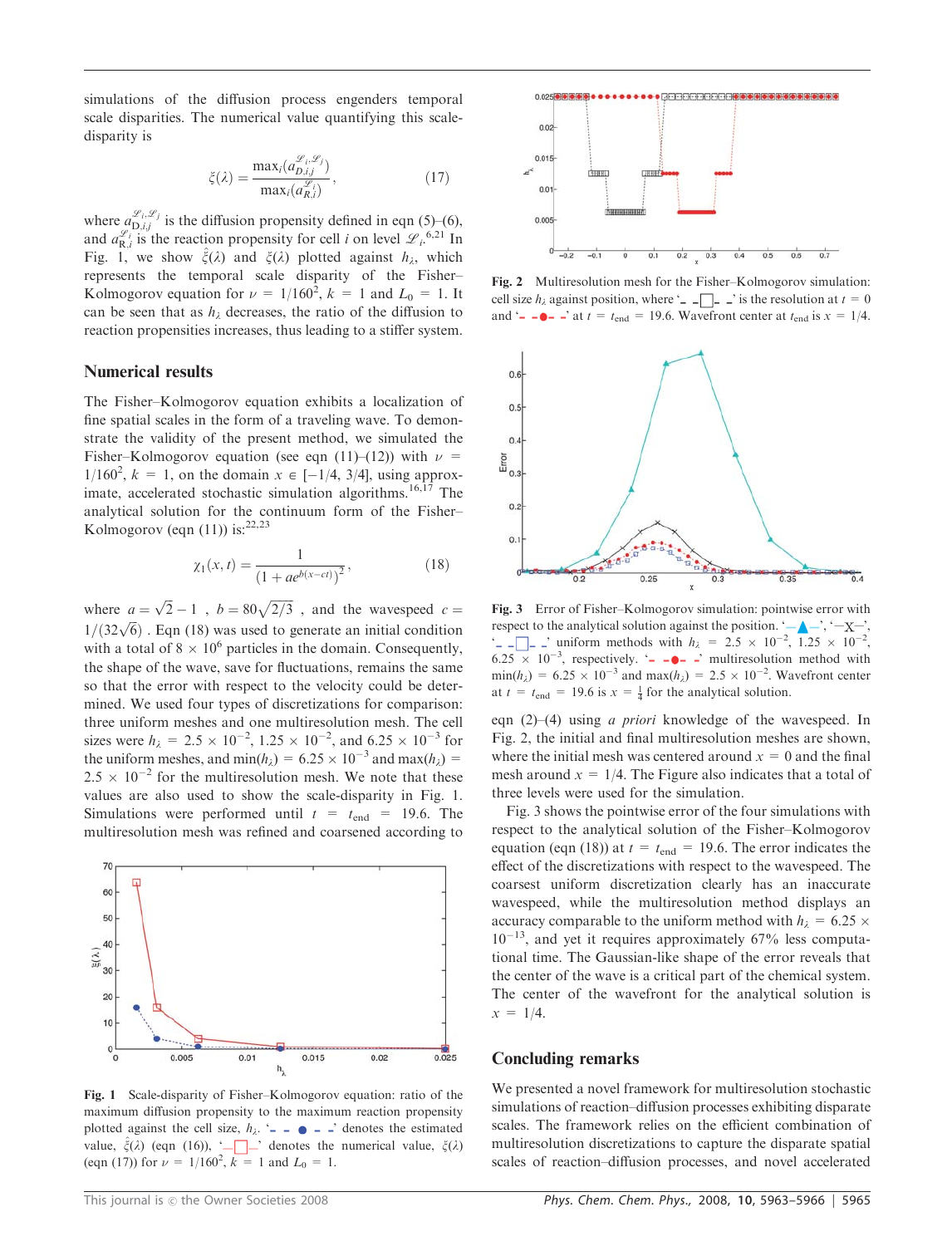simulations of the diffusion process engenders temporal scale disparities. The numerical value quantifying this scaledisparity is

$$
\xi(\lambda) = \frac{\max_i (a_{D,ij}^{\mathcal{L}_i, \mathcal{L}_j})}{\max_i (a_{R,i}^{\mathcal{L}_i})},\tag{17}
$$

where  $a_{D,i,j}^{\mathcal{L}_i,\mathcal{L}_j}$  is the diffusion propensity defined in eqn (5)–(6), and  $a_{\text{R},i}^{\mathcal{L}_i}$  is the reaction propensity for cell *i* on level  $\mathcal{L}_i$ <sup>6,21</sup> In Fig. 1, we show  $\hat{\xi}(\lambda)$  and  $\xi(\lambda)$  plotted against  $h_{\lambda}$ , which represents the temporal scale disparity of the Fisher– Kolmogorov equation for  $\nu = 1/160^2$ ,  $k = 1$  and  $L_0 = 1$ . It can be seen that as  $h_{\lambda}$  decreases, the ratio of the diffusion to reaction propensities increases, thus leading to a stiffer system.

#### Numerical results

The Fisher–Kolmogorov equation exhibits a localization of fine spatial scales in the form of a traveling wave. To demonstrate the validity of the present method, we simulated the Fisher–Kolmogorov equation (see eqn (11)–(12)) with  $\nu$  =  $1/160^2$ ,  $k = 1$ , on the domain  $x \in [-1/4, 3/4]$ , using approximate, accelerated stochastic simulation algorithms.<sup>16,17</sup> The analytical solution for the continuum form of the Fisher– Kolmogorov (eqn  $(11)$ ) is:<sup>22,23</sup>

$$
\chi_1(x,t) = \frac{1}{\left(1 + ae^{b(x-ct)}\right)^2},\tag{18}
$$

where  $a = \sqrt{2} - 1$ ,  $b = 80\sqrt{2/3}$ , and the wavespeed  $c =$  $1/(32\sqrt{6})$ . Eqn (18) was used to generate an initial condition with a total of  $8 \times 10^6$  particles in the domain. Consequently, the shape of the wave, save for fluctuations, remains the same so that the error with respect to the velocity could be determined. We used four types of discretizations for comparison: three uniform meshes and one multiresolution mesh. The cell sizes were  $h_{\lambda} = 2.5 \times 10^{-2}$ ,  $1.25 \times 10^{-2}$ , and  $6.25 \times 10^{-3}$  for the uniform meshes, and min(h<sub>i</sub>) =  $6.25 \times 10^{-3}$  and max(h<sub>i</sub>) =  $2.5 \times 10^{-2}$  for the multiresolution mesh. We note that these values are also used to show the scale-disparity in Fig. 1. Simulations were performed until  $t = t_{end} = 19.6$ . The multiresolution mesh was refined and coarsened according to



Fig. 1 Scale-disparity of Fisher–Kolmogorov equation: ratio of the maximum diffusion propensity to the maximum reaction propensity plotted against the cell size,  $h_{\lambda}$ . '- -  $\bullet$  - -' denotes the estimated value,  $\zeta(\lambda)$  (eqn (16)), '-  $\Box$  denotes the numerical value,  $\zeta(\lambda)$ (eqn (17)) for  $\nu = 1/160^2$ ,  $k = 1$  and  $L_0 = 1$ .



Fig. 2 Multiresolution mesh for the Fisher–Kolmogorov simulation: cell size  $h_{\lambda}$  against position, where ' -  $\Box$  - ' is the resolution at  $t = 0$ and '- - $\bullet$ - -' at  $t = t_{end} = 19.6$ . Wavefront center at  $t_{end}$  is  $x = 1/4$ .



Fig. 3 Error of Fisher–Kolmogorov simulation: pointwise error with respect to the analytical solution against the position. ' $-\Delta$ , ' $-\chi$ ,'  $\leftarrow$  -  $\Box$  -  $\Box$  uniform methods with  $h_{\lambda} = 2.5 \times 10^{-2}$ , 1.25  $\times 10^{-2}$ ,  $6.25 \times 10^{-3}$ , respectively. '- - $\bullet$ - -' multiresolution method with  $\min(h_{\lambda}) = 6.25 \times 10^{-3}$  and  $\max(h_{\lambda}) = 2.5 \times 10^{-2}$ . Wavefront center at  $t = t_{\text{end}} = 19.6$  is  $x = \frac{1}{4}$  for the analytical solution.

eqn  $(2)$ – $(4)$  using *a priori* knowledge of the wavespeed. In Fig. 2, the initial and final multiresolution meshes are shown, where the initial mesh was centered around  $x = 0$  and the final mesh around  $x = 1/4$ . The Figure also indicates that a total of three levels were used for the simulation.

Fig. 3 shows the pointwise error of the four simulations with respect to the analytical solution of the Fisher–Kolmogorov equation (eqn (18)) at  $t = t_{end} = 19.6$ . The error indicates the effect of the discretizations with respect to the wavespeed. The coarsest uniform discretization clearly has an inaccurate wavespeed, while the multiresolution method displays an accuracy comparable to the uniform method with  $h_1 = 6.25 \times$  $10^{-13}$ , and yet it requires approximately 67% less computational time. The Gaussian-like shape of the error reveals that the center of the wave is a critical part of the chemical system. The center of the wavefront for the analytical solution is  $x = 1/4.$ 

## Concluding remarks

We presented a novel framework for multiresolution stochastic simulations of reaction–diffusion processes exhibiting disparate scales. The framework relies on the efficient combination of multiresolution discretizations to capture the disparate spatial scales of reaction–diffusion processes, and novel accelerated